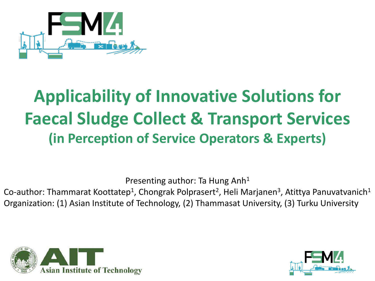

# **Applicability of Innovative Solutions for Faecal Sludge Collect & Transport Services (in Perception of Service Operators & Experts)**

Presenting author: Ta Hung Anh<sup>1</sup>

Co-author: Thammarat Koottatep<sup>1</sup>, Chongrak Polprasert<sup>2</sup>, Heli Marjanen<sup>3</sup>, Atittya Panuvatvanich<sup>1</sup> Organization: (1) Asian Institute of Technology, (2) Thammasat University, (3) Turku University



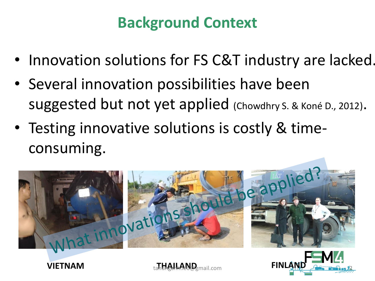## **Background Context**

- Innovation solutions for FS C&T industry are lacked.
- Several innovation possibilities have been suggested but not yet applied (Chowdhry S. & Koné D., 2012).
- Testing innovative solutions is costly & timeconsuming.





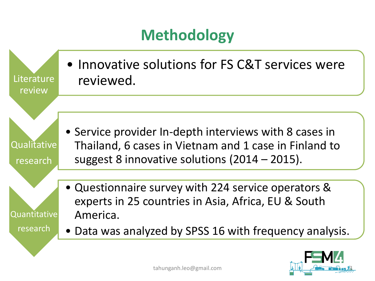## **Methodology**



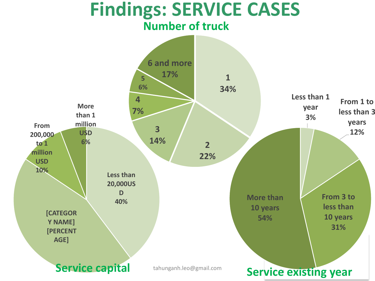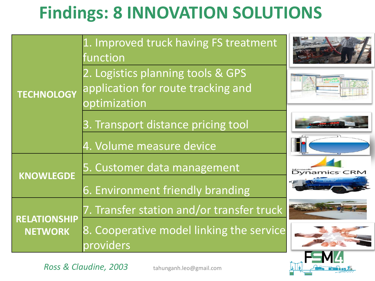# **Findings: 8 INNOVATION SOLUTIONS**

| <b>TECHNOLOGY</b>                     | 1. Improved truck having FS treatment<br>function                                       |                                               |
|---------------------------------------|-----------------------------------------------------------------------------------------|-----------------------------------------------|
|                                       | 2. Logistics planning tools & GPS<br>application for route tracking and<br>optimization |                                               |
|                                       | 3. Transport distance pricing tool                                                      |                                               |
|                                       | 4. Volume measure device                                                                |                                               |
| <b>KNOWLEGDE</b>                      | 5. Customer data management                                                             | <b>Microsoft</b><br>Dynamics <sup>-</sup> CRM |
|                                       | 6. Environment friendly branding                                                        |                                               |
| <b>RELATIONSHIP</b><br><b>NETWORK</b> | 7. Transfer station and/or transfer truck                                               |                                               |
|                                       | 8. Cooperative model linking the service<br>providers                                   |                                               |
|                                       |                                                                                         |                                               |

*Ross & Claudine, 2003* tahunganh.leo@gmail.com <sup>5</sup>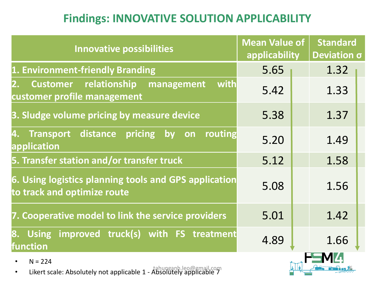#### **Findings: INNOVATIVE SOLUTION APPLICABILITY**

| <b>Innovative possibilities</b>                                                                      | <b>Mean Value of</b><br>applicability |  | <b>Standard</b><br>Deviation $\sigma$ |  |
|------------------------------------------------------------------------------------------------------|---------------------------------------|--|---------------------------------------|--|
| 1. Environment-friendly Branding                                                                     | 5.65                                  |  | 1.32                                  |  |
| with<br>relationship<br><b>Customer</b><br>management<br>2.<br>customer profile management           | 5.42                                  |  | 1.33                                  |  |
| 3. Sludge volume pricing by measure device                                                           | 5.38                                  |  | 1.37                                  |  |
| <b>Transport distance</b><br>pricing<br>routing<br>$\mathsf{b}\mathsf{v}$<br>4.<br>on<br>application | 5.20                                  |  | 1.49                                  |  |
| 5. Transfer station and/or transfer truck                                                            | 5.12                                  |  | 1.58                                  |  |
| 6. Using logistics planning tools and GPS application<br>to track and optimize route                 | 5.08                                  |  | 1.56                                  |  |
| 7. Cooperative model to link the service providers                                                   | 5.01                                  |  | 1.42                                  |  |
| Using improved truck(s) with FS treatment<br>8.<br>function                                          | 4.89                                  |  | 1.66                                  |  |
| $N = 224$<br>$\bullet$<br>Likert scale: Absolutely not applicable 1 - Absolutely applicable 7        |                                       |  |                                       |  |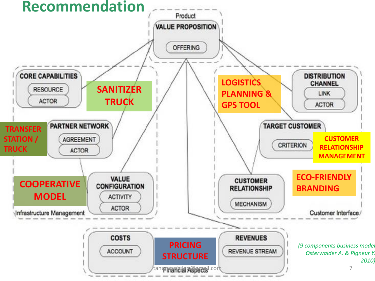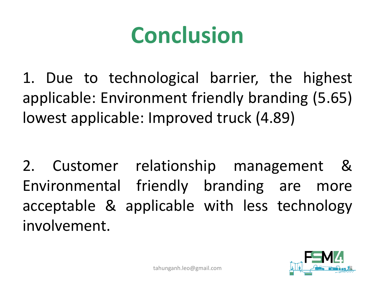# **Conclusion**

1. Due to technological barrier, the highest applicable: Environment friendly branding (5.65) lowest applicable: Improved truck (4.89)

2. Customer relationship management & Environmental friendly branding are more acceptable & applicable with less technology involvement.

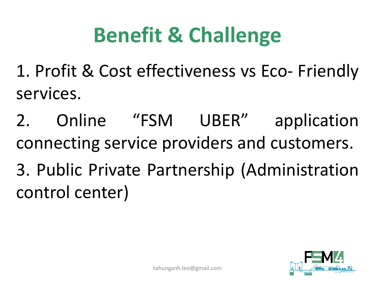# **Benefit & Challenge**

1. Profit & Cost effectiveness vs Eco- Friendly services.

2. Online "FSM UBER" application connecting service providers and customers. 3. Public Private Partnership (Administration control center)

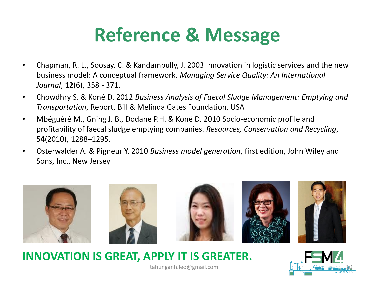# **Reference & Message**

- Chapman, R. L., Soosay, C. & Kandampully, J. 2003 Innovation in logistic services and the new business model: A conceptual framework. *Managing Service Quality: An International Journal*, **12**(6), 358 - 371.
- Chowdhry S. & Koné D. 2012 *Business Analysis of Faecal Sludge Management: Emptying and Transportation*, Report, Bill & Melinda Gates Foundation, USA
- Mbéguéré M., Gning J. B., Dodane P.H. & Koné D. 2010 Socio-economic profile and profitability of faecal sludge emptying companies. *Resources, Conservation and Recycling*, **54**(2010), 1288–1295.
- Osterwalder A. & Pigneur Y. 2010 *Business model generation*, first edition, John Wiley and Sons, Inc., New Jersey



**INNOVATION IS GREAT, APPLY IT IS GREATER.**



tahunganh.leo@gmail.com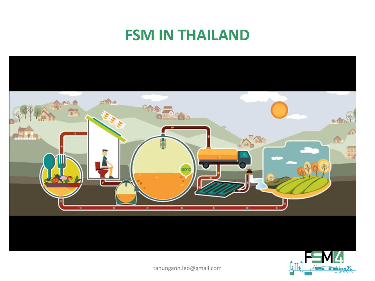### **FSM IN THAILAND**





tahunganh.leo@gmail.com 11